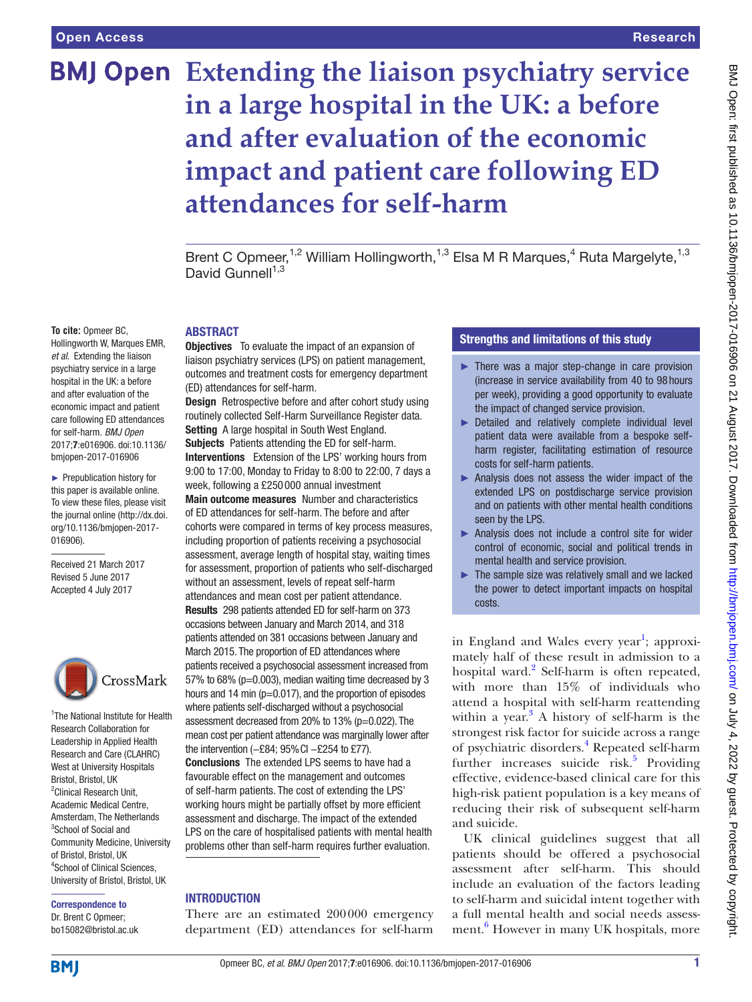# **Extending the liaison psychiatry service in a large hospital in the UK: a before and after evaluation of the economic impact and patient care following ED attendances for self-harm**

Brent C Opmeer,<sup>1,2</sup> William Hollingworth,<sup>1,3</sup> Elsa M R Marques,<sup>4</sup> Ruta Margelyte,<sup>1,3</sup> David Gunnell<sup>1,3</sup>

#### **To cite:** Opmeer BC,

Hollingworth W, Marques EMR, *et al*. Extending the liaison psychiatry service in a large hospital in the UK: a before and after evaluation of the economic impact and patient care following ED attendances for self-harm. *BMJ Open* 2017;7:e016906. doi:10.1136/ bmjopen-2017-016906

► Prepublication history for this paper is available online. To view these files, please visit the journal online [\(http://dx.doi.](http://dx.doi.org/10.1136/bmjopen-2017-016906) [org/10.1136/bmjopen-2017-](http://dx.doi.org/10.1136/bmjopen-2017-016906) [016906\)](http://dx.doi.org/10.1136/bmjopen-2017-016906).

Received 21 March 2017 Revised 5 June 2017 Accepted 4 July 2017



<sup>1</sup>The National Institute for Health Research Collaboration for Leadership in Applied Health Research and Care (CLAHRC) West at University Hospitals Bristol, Bristol, UK <sup>2</sup> Clinical Research Unit, Academic Medical Centre, Amsterdam, The Netherlands 3 School of Social and Community Medicine, University of Bristol, Bristol, UK 4 School of Clinical Sciences, University of Bristol, Bristol, UK

Correspondence to Dr. Brent C Opmeer; bo15082@bristol.ac.uk

# **ABSTRACT**

**Objectives** To evaluate the impact of an expansion of liaison psychiatry services (LPS) on patient management, outcomes and treatment costs for emergency department (ED) attendances for self-harm.

**Design** Retrospective before and after cohort study using routinely collected Self-Harm Surveillance Register data. Setting A large hospital in South West England. Subjects Patients attending the ED for self-harm. Interventions Extension of the LPS' working hours from 9:00 to 17:00, Monday to Friday to 8:00 to 22:00, 7 days a week, following a £250 000 annual investment Main outcome measures Number and characteristics of ED attendances for self-harm. The before and after cohorts were compared in terms of key process measures, including proportion of patients receiving a psychosocial assessment, average length of hospital stay, waiting times for assessment, proportion of patients who self-discharged without an assessment, levels of repeat self-harm attendances and mean cost per patient attendance. Results 298 patients attended ED for self-harm on 373 occasions between January and March 2014, and 318 patients attended on 381 occasions between January and March 2015. The proportion of ED attendances where patients received a psychosocial assessment increased from 57% to 68% (p=0.003), median waiting time decreased by 3 hours and 14 min ( $p=0.017$ ), and the proportion of episodes where patients self-discharged without a psychosocial assessment decreased from 20% to 13% (p=0.022). The mean cost per patient attendance was marginally lower after the intervention (−£84; 95%CI −£254 to £77). Conclusions The extended LPS seems to have had a favourable effect on the management and outcomes of self-harm patients. The cost of extending the LPS' working hours might be partially offset by more efficient assessment and discharge. The impact of the extended LPS on the care of hospitalised patients with mental health problems other than self-harm requires further evaluation.

#### **INTRODUCTION**

There are an estimated 200000 emergency department (ED) attendances for self-harm

# Strengths and limitations of this study

- $\blacktriangleright$  There was a major step-change in care provision (increase in service availability from 40 to 98 hours per week), providing a good opportunity to evaluate the impact of changed service provision.
- ► Detailed and relatively complete individual level patient data were available from a bespoke selfharm register, facilitating estimation of resource costs for self-harm patients.
- ► Analysis does not assess the wider impact of the extended LPS on postdischarge service provision and on patients with other mental health conditions seen by the LPS.
- ► Analysis does not include a control site for wider control of economic, social and political trends in mental health and service provision.
- ► The sample size was relatively small and we lacked the power to detect important impacts on hospital costs.

in England and Wales every year<sup>[1](#page-11-0)</sup>; approximately half of these result in admission to a hospital ward.<sup>[2](#page-11-1)</sup> Self-harm is often repeated, with more than 15% of individuals who attend a hospital with self-harm reattending within a year. $3$  A history of self-harm is the strongest risk factor for suicide across a range of psychiatric disorders.<sup>4</sup> Repeated self-harm further increases suicide risk.<sup>[5](#page-11-4)</sup> Providing effective, evidence-based clinical care for this high-risk patient population is a key means of reducing their risk of subsequent self-harm and suicide.

UK clinical guidelines suggest that all patients should be offered a psychosocial assessment after self-harm. This should include an evaluation of the factors leading to self-harm and suicidal intent together with a full mental health and social needs assess-ment.<sup>[6](#page-11-5)</sup> However in many UK hospitals, more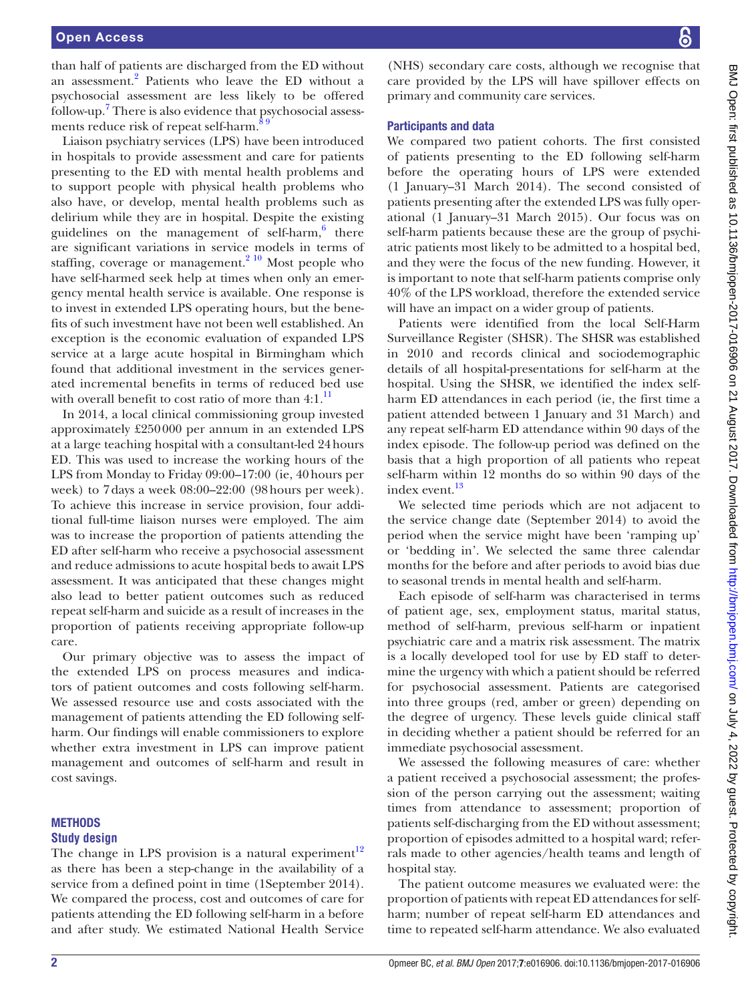than half of patients are discharged from the ED without an assessment.<sup>2</sup> Patients who leave the ED without a psychosocial assessment are less likely to be offered follow-up.<sup>[7](#page-11-6)</sup> There is also evidence that psychosocial assessments reduce risk of repeat self-harm.<sup>89</sup>

Liaison psychiatry services (LPS) have been introduced in hospitals to provide assessment and care for patients presenting to the ED with mental health problems and to support people with physical health problems who also have, or develop, mental health problems such as delirium while they are in hospital. Despite the existing guidelines on the management of self-harm,<sup>[6](#page-11-5)</sup> there are significant variations in service models in terms of staffing, coverage or management. $2^{10}$  Most people who have self-harmed seek help at times when only an emergency mental health service is available. One response is to invest in extended LPS operating hours, but the benefits of such investment have not been well established. An exception is the economic evaluation of expanded LPS service at a large acute hospital in Birmingham which found that additional investment in the services generated incremental benefits in terms of reduced bed use with overall benefit to cost ratio of more than  $4:1$ .<sup>[11](#page-11-8)</sup>

In 2014, a local clinical commissioning group invested approximately £250000 per annum in an extended LPS at a large teaching hospital with a consultant-led 24hours ED. This was used to increase the working hours of the LPS from Monday to Friday 09:00–17:00 (ie, 40hours per week) to 7days a week 08:00–22:00 (98hours per week). To achieve this increase in service provision, four additional full-time liaison nurses were employed. The aim was to increase the proportion of patients attending the ED after self-harm who receive a psychosocial assessment and reduce admissions to acute hospital beds to await LPS assessment. It was anticipated that these changes might also lead to better patient outcomes such as reduced repeat self-harm and suicide as a result of increases in the proportion of patients receiving appropriate follow-up care.

Our primary objective was to assess the impact of the extended LPS on process measures and indicators of patient outcomes and costs following self-harm. We assessed resource use and costs associated with the management of patients attending the ED following selfharm. Our findings will enable commissioners to explore whether extra investment in LPS can improve patient management and outcomes of self-harm and result in cost savings.

# **METHODS**

# **Study design**

The change in LPS provision is a natural experiment<sup>12</sup> as there has been a step-change in the availability of a service from a defined point in time (1September 2014). We compared the process, cost and outcomes of care for patients attending the ED following self-harm in a before and after study. We estimated National Health Service

(NHS) secondary care costs, although we recognise that care provided by the LPS will have spillover effects on primary and community care services.

# Participants and data

We compared two patient cohorts. The first consisted of patients presenting to the ED following self-harm before the operating hours of LPS were extended (1 January–31 March 2014). The second consisted of patients presenting after the extended LPS was fully operational (1 January–31 March 2015). Our focus was on self-harm patients because these are the group of psychiatric patients most likely to be admitted to a hospital bed, and they were the focus of the new funding. However, it is important to note that self-harm patients comprise only 40% of the LPS workload, therefore the extended service will have an impact on a wider group of patients.

Patients were identified from the local Self-Harm Surveillance Register (SHSR). The SHSR was established in 2010 and records clinical and sociodemographic details of all hospital-presentations for self-harm at the hospital. Using the SHSR, we identified the index selfharm ED attendances in each period (ie, the first time a patient attended between 1 January and 31 March) and any repeat self-harm ED attendance within 90 days of the index episode. The follow-up period was defined on the basis that a high proportion of all patients who repeat self-harm within 12 months do so within 90 days of the index event.<sup>13</sup>

We selected time periods which are not adjacent to the service change date (September 2014) to avoid the period when the service might have been 'ramping up' or 'bedding in'. We selected the same three calendar months for the before and after periods to avoid bias due to seasonal trends in mental health and self-harm.

Each episode of self-harm was characterised in terms of patient age, sex, employment status, marital status, method of self-harm, previous self-harm or inpatient psychiatric care and a matrix risk assessment. The matrix is a locally developed tool for use by ED staff to determine the urgency with which a patient should be referred for psychosocial assessment. Patients are categorised into three groups (red, amber or green) depending on the degree of urgency. These levels guide clinical staff in deciding whether a patient should be referred for an immediate psychosocial assessment.

We assessed the following measures of care: whether a patient received a psychosocial assessment; the profession of the person carrying out the assessment; waiting times from attendance to assessment; proportion of patients self-discharging from the ED without assessment; proportion of episodes admitted to a hospital ward; referrals made to other agencies/health teams and length of hospital stay.

The patient outcome measures we evaluated were: the proportion of patients with repeat ED attendances for selfharm; number of repeat self-harm ED attendances and time to repeated self-harm attendance. We also evaluated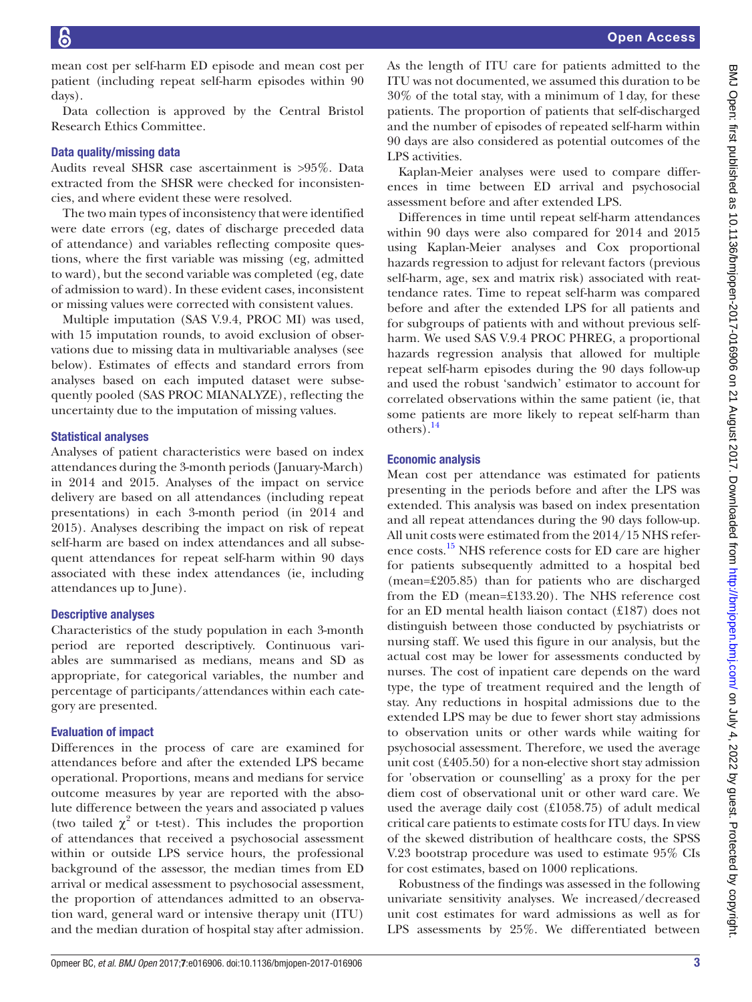mean cost per self-harm ED episode and mean cost per patient (including repeat self-harm episodes within 90 days).

Data collection is approved by the Central Bristol Research Ethics Committee.

#### Data quality/missing data

Audits reveal SHSR case ascertainment is >95%. Data extracted from the SHSR were checked for inconsistencies, and where evident these were resolved.

The two main types of inconsistency that were identified were date errors (eg, dates of discharge preceded data of attendance) and variables reflecting composite questions, where the first variable was missing (eg, admitted to ward), but the second variable was completed (eg, date of admission to ward). In these evident cases, inconsistent or missing values were corrected with consistent values.

Multiple imputation (SAS V.9.4, PROC MI) was used, with 15 imputation rounds, to avoid exclusion of observations due to missing data in multivariable analyses (see below). Estimates of effects and standard errors from analyses based on each imputed dataset were subsequently pooled (SAS PROC MIANALYZE), reflecting the uncertainty due to the imputation of missing values.

# Statistical analyses

Analyses of patient characteristics were based on index attendances during the 3-month periods (January-March) in 2014 and 2015. Analyses of the impact on service delivery are based on all attendances (including repeat presentations) in each 3-month period (in 2014 and 2015). Analyses describing the impact on risk of repeat self-harm are based on index attendances and all subsequent attendances for repeat self-harm within 90 days associated with these index attendances (ie, including attendances up to June).

# Descriptive analyses

Characteristics of the study population in each 3-month period are reported descriptively. Continuous variables are summarised as medians, means and SD as appropriate, for categorical variables, the number and percentage of participants/attendances within each category are presented.

# Evaluation of impact

Differences in the process of care are examined for attendances before and after the extended LPS became operational. Proportions, means and medians for service outcome measures by year are reported with the absolute difference between the years and associated p values (two tailed  $\chi^2$  or t-test). This includes the proportion of attendances that received a psychosocial assessment within or outside LPS service hours, the professional background of the assessor, the median times from ED arrival or medical assessment to psychosocial assessment, the proportion of attendances admitted to an observation ward, general ward or intensive therapy unit (ITU) and the median duration of hospital stay after admission.

As the length of ITU care for patients admitted to the ITU was not documented, we assumed this duration to be 30% of the total stay, with a minimum of 1day, for these patients. The proportion of patients that self-discharged and the number of episodes of repeated self-harm within 90 days are also considered as potential outcomes of the LPS activities.

Kaplan-Meier analyses were used to compare differences in time between ED arrival and psychosocial assessment before and after extended LPS.

Differences in time until repeat self-harm attendances within 90 days were also compared for 2014 and 2015 using Kaplan-Meier analyses and Cox proportional hazards regression to adjust for relevant factors (previous self-harm, age, sex and matrix risk) associated with reattendance rates. Time to repeat self-harm was compared before and after the extended LPS for all patients and for subgroups of patients with and without previous selfharm. We used SAS V.9.4 PROC PHREG, a proportional hazards regression analysis that allowed for multiple repeat self-harm episodes during the 90 days follow-up and used the robust 'sandwich' estimator to account for correlated observations within the same patient (ie, that some patients are more likely to repeat self-harm than others).<sup>[14](#page-11-11)</sup>

# Economic analysis

Mean cost per attendance was estimated for patients presenting in the periods before and after the LPS was extended. This analysis was based on index presentation and all repeat attendances during the 90 days follow-up. All unit costs were estimated from the 2014/15 NHS reference costs.[15](#page-11-12) NHS reference costs for ED care are higher for patients subsequently admitted to a hospital bed (mean=£205.85) than for patients who are discharged from the ED (mean=£133.20). The NHS reference cost for an ED mental health liaison contact (£187) does not distinguish between those conducted by psychiatrists or nursing staff. We used this figure in our analysis, but the actual cost may be lower for assessments conducted by nurses. The cost of inpatient care depends on the ward type, the type of treatment required and the length of stay. Any reductions in hospital admissions due to the extended LPS may be due to fewer short stay admissions to observation units or other wards while waiting for psychosocial assessment. Therefore, we used the average unit cost (£405.50) for a non-elective short stay admission for 'observation or counselling' as a proxy for the per diem cost of observational unit or other ward care. We used the average daily cost (£1058.75) of adult medical critical care patients to estimate costs for ITU days. In view of the skewed distribution of healthcare costs, the SPSS V.23 bootstrap procedure was used to estimate 95% CIs for cost estimates, based on 1000 replications.

Robustness of the findings was assessed in the following univariate sensitivity analyses. We increased/decreased unit cost estimates for ward admissions as well as for LPS assessments by 25%. We differentiated between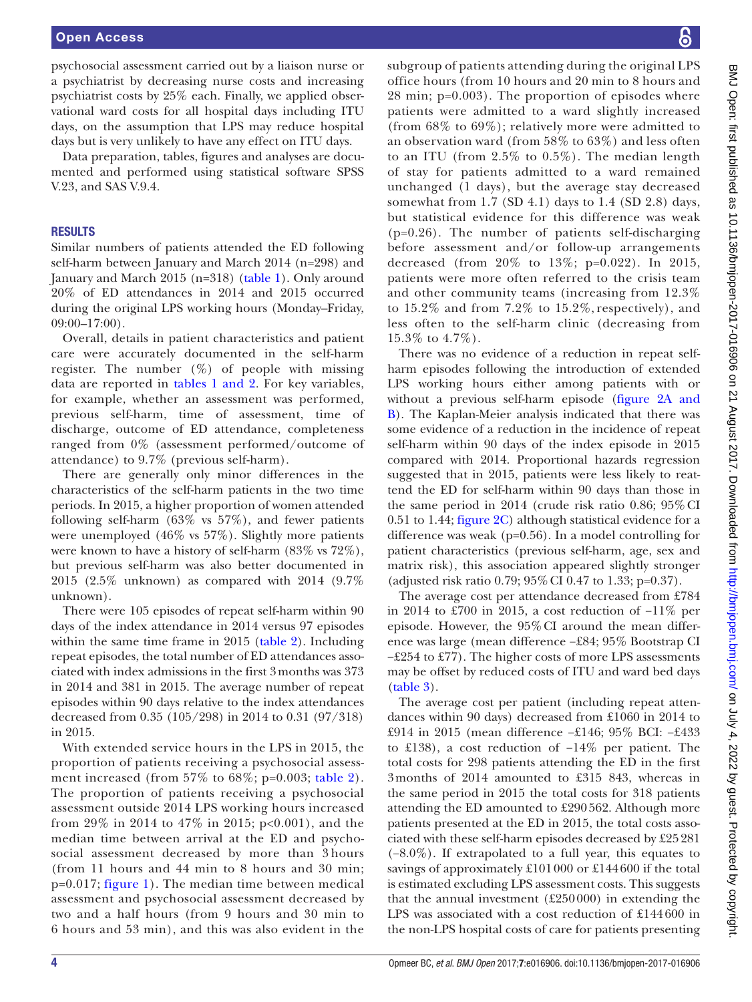psychosocial assessment carried out by a liaison nurse or a psychiatrist by decreasing nurse costs and increasing psychiatrist costs by 25% each. Finally, we applied observational ward costs for all hospital days including ITU days, on the assumption that LPS may reduce hospital days but is very unlikely to have any effect on ITU days.

Data preparation, tables, figures and analyses are documented and performed using statistical software SPSS V.23, and SAS V.9.4.

#### **RESULTS**

Similar numbers of patients attended the ED following self-harm between January and March 2014 (n=298) and January and March 2015 (n=318) [\(table](#page-4-0) 1). Only around 20% of ED attendances in 2014 and 2015 occurred during the original LPS working hours (Monday–Friday,  $09:00-17:00$ .

Overall, details in patient characteristics and patient care were accurately documented in the self-harm register. The number (%) of people with missing data are reported in tables [1 and 2.](#page-4-0) For key variables, for example, whether an assessment was performed, previous self-harm, time of assessment, time of discharge, outcome of ED attendance, completeness ranged from 0% (assessment performed/outcome of attendance) to 9.7% (previous self-harm).

There are generally only minor differences in the characteristics of the self-harm patients in the two time periods. In 2015, a higher proportion of women attended following self-harm  $(63\%$  vs  $57\%)$ , and fewer patients were unemployed (46% vs 57%). Slightly more patients were known to have a history of self-harm (83% vs 72%), but previous self-harm was also better documented in 2015 (2.5% unknown) as compared with 2014 (9.7% unknown).

There were 105 episodes of repeat self-harm within 90 days of the index attendance in 2014 versus 97 episodes within the same time frame in 2015 ([table](#page-5-0) 2). Including repeat episodes, the total number of ED attendances associated with index admissions in the first 3months was 373 in 2014 and 381 in 2015. The average number of repeat episodes within 90 days relative to the index attendances decreased from 0.35 (105/298) in 2014 to 0.31 (97/318) in 2015.

With extended service hours in the LPS in 2015, the proportion of patients receiving a psychosocial assessment increased (from  $57\%$  to  $68\%;$  p=0.003; [table](#page-5-0) 2). The proportion of patients receiving a psychosocial assessment outside 2014 LPS working hours increased from 29% in 2014 to 47% in 2015; p<0.001), and the median time between arrival at the ED and psychosocial assessment decreased by more than 3 hours (from 11 hours and 44 min to 8 hours and 30 min; p=0.017; [figure](#page-7-0) 1). The median time between medical assessment and psychosocial assessment decreased by two and a half hours (from 9 hours and 30 min to 6 hours and 53 min), and this was also evident in the

subgroup of patients attending during the original LPS office hours (from 10 hours and 20 min to 8 hours and 28 min; p=0.003). The proportion of episodes where patients were admitted to a ward slightly increased (from 68% to 69%); relatively more were admitted to an observation ward (from 58% to 63%) and less often to an ITU (from 2.5% to 0.5%). The median length of stay for patients admitted to a ward remained unchanged (1 days), but the average stay decreased somewhat from 1.7 (SD 4.1) days to 1.4 (SD 2.8) days, but statistical evidence for this difference was weak (p=0.26). The number of patients self-discharging before assessment and/or follow-up arrangements decreased (from 20% to 13%; p=0.022). In 2015, patients were more often referred to the crisis team and other community teams (increasing from 12.3% to  $15.2\%$  and from  $7.2\%$  to  $15.2\%$ , respectively), and less often to the self-harm clinic (decreasing from 15.3% to 4.7%).

There was no evidence of a reduction in repeat selfharm episodes following the introduction of extended LPS working hours either among patients with or without a previous self-harm episode (figure [2A and](#page-8-0)  [B](#page-8-0)). The Kaplan-Meier analysis indicated that there was some evidence of a reduction in the incidence of repeat self-harm within 90 days of the index episode in 2015 compared with 2014. Proportional hazards regression suggested that in 2015, patients were less likely to reattend the ED for self-harm within 90 days than those in the same period in 2014 (crude risk ratio 0.86; 95%CI 0.51 to 1.44; [figure](#page-8-0) 2C) although statistical evidence for a difference was weak (p=0.56). In a model controlling for patient characteristics (previous self-harm, age, sex and matrix risk), this association appeared slightly stronger (adjusted risk ratio 0.79; 95%CI 0.47 to 1.33; p=0.37).

The average cost per attendance decreased from £784 in 2014 to £700 in 2015, a cost reduction of −11% per episode. However, the 95%CI around the mean difference was large (mean difference −£84; 95% Bootstrap CI −£254 to £77). The higher costs of more LPS assessments may be offset by reduced costs of ITU and ward bed days [\(table](#page-9-0) 3).

The average cost per patient (including repeat attendances within 90 days) decreased from £1060 in 2014 to £914 in 2015 (mean difference −£146; 95% BCI: −£433 to £138), a cost reduction of −14% per patient. The total costs for 298 patients attending the ED in the first 3months of 2014 amounted to £315 843, whereas in the same period in 2015 the total costs for 318 patients attending the ED amounted to £290562. Although more patients presented at the ED in 2015, the total costs associated with these self-harm episodes decreased by £25281 (−8.0%). If extrapolated to a full year, this equates to savings of approximately £101000 or £144600 if the total is estimated excluding LPS assessment costs. This suggests that the annual investment  $(£250000)$  in extending the LPS was associated with a cost reduction of £144600 in the non-LPS hospital costs of care for patients presenting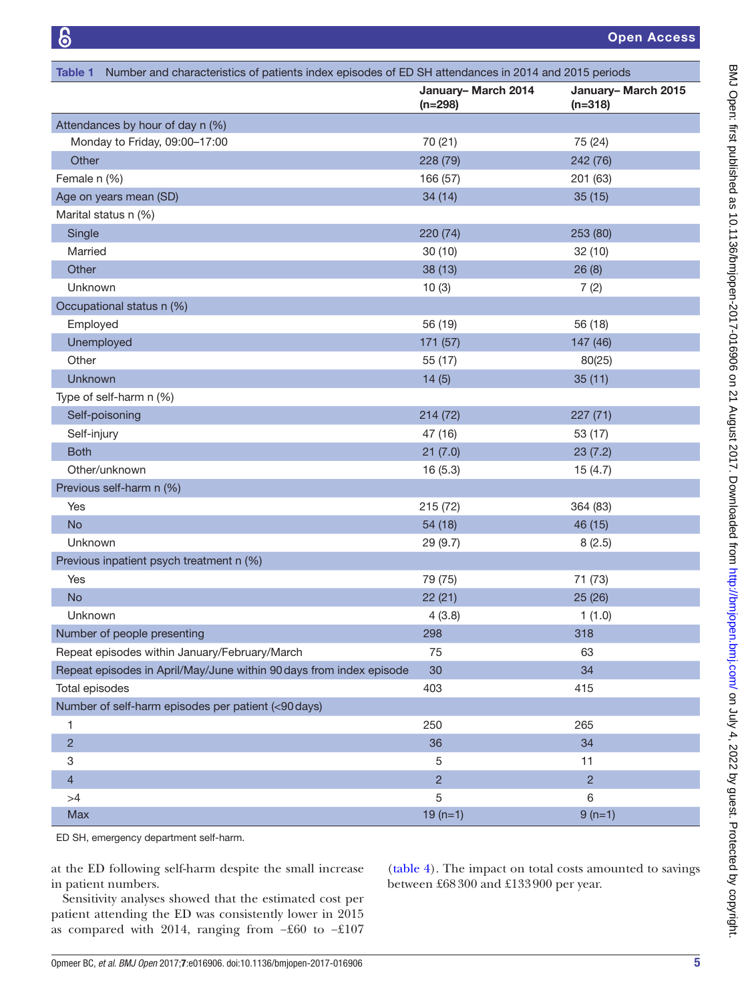Open Access

<span id="page-4-0"></span>

| Number and characteristics of patients index episodes of ED SH attendances in 2014 and 2015 periods<br>Table 1 |                                  |                                  |
|----------------------------------------------------------------------------------------------------------------|----------------------------------|----------------------------------|
|                                                                                                                | January- March 2014<br>$(n=298)$ | January- March 2015<br>$(n=318)$ |
| Attendances by hour of day n (%)                                                                               |                                  |                                  |
| Monday to Friday, 09:00-17:00                                                                                  | 70 (21)                          | 75 (24)                          |
| Other                                                                                                          | 228 (79)                         | 242 (76)                         |
| Female n (%)                                                                                                   | 166 (57)                         | 201 (63)                         |
| Age on years mean (SD)                                                                                         | 34(14)                           | 35(15)                           |
| Marital status n (%)                                                                                           |                                  |                                  |
| Single                                                                                                         | 220 (74)                         | 253 (80)                         |
| Married                                                                                                        | 30(10)                           | 32(10)                           |
| Other                                                                                                          | 38 (13)                          | 26(8)                            |
| Unknown                                                                                                        | 10(3)                            | 7(2)                             |
| Occupational status n (%)                                                                                      |                                  |                                  |
| Employed                                                                                                       | 56 (19)                          | 56 (18)                          |
| Unemployed                                                                                                     | 171 (57)                         | 147 (46)                         |
| Other                                                                                                          | 55 (17)                          | 80(25)                           |
| <b>Unknown</b>                                                                                                 | 14(5)                            | 35(11)                           |
| Type of self-harm n (%)                                                                                        |                                  |                                  |
| Self-poisoning                                                                                                 | 214 (72)                         | 227(71)                          |
| Self-injury                                                                                                    | 47 (16)                          | 53 (17)                          |
| <b>Both</b>                                                                                                    | 21(7.0)                          | 23(7.2)                          |
| Other/unknown                                                                                                  | 16(5.3)                          | 15(4.7)                          |
| Previous self-harm n (%)                                                                                       |                                  |                                  |
| Yes                                                                                                            | 215 (72)                         | 364 (83)                         |
| <b>No</b>                                                                                                      | 54 (18)                          | 46 (15)                          |
| Unknown                                                                                                        | 29 (9.7)                         | 8(2.5)                           |
| Previous inpatient psych treatment n (%)                                                                       |                                  |                                  |
| Yes                                                                                                            | 79 (75)                          | 71 (73)                          |
| <b>No</b>                                                                                                      | 22(21)                           | 25(26)                           |
| Unknown                                                                                                        | 4(3.8)                           | 1(1.0)                           |
| Number of people presenting                                                                                    | 298                              | 318                              |
| Repeat episodes within January/February/March                                                                  | 75                               | 63                               |
| Repeat episodes in April/May/June within 90 days from index episode                                            | 30                               | 34                               |
| Total episodes                                                                                                 | 403                              | 415                              |
| Number of self-harm episodes per patient (<90 days)                                                            |                                  |                                  |
| 1                                                                                                              | 250                              | 265                              |
| $\overline{c}$                                                                                                 | 36                               | 34                               |
| 3                                                                                                              | $\sqrt{5}$                       | 11                               |
| $\overline{4}$                                                                                                 | $\overline{2}$                   | $\overline{2}$                   |
| >4                                                                                                             | 5                                | 6                                |
| Max                                                                                                            | $19(n=1)$                        | $9(n=1)$                         |

ED SH, emergency department self-harm.

at the ED following self-harm despite the small increase in patient numbers.

Sensitivity analyses showed that the estimated cost per patient attending the ED was consistently lower in 2015 as compared with 2014, ranging from −£60 to −£107

[\(table](#page-9-1) 4). The impact on total costs amounted to savings between £68300 and £133900 per year.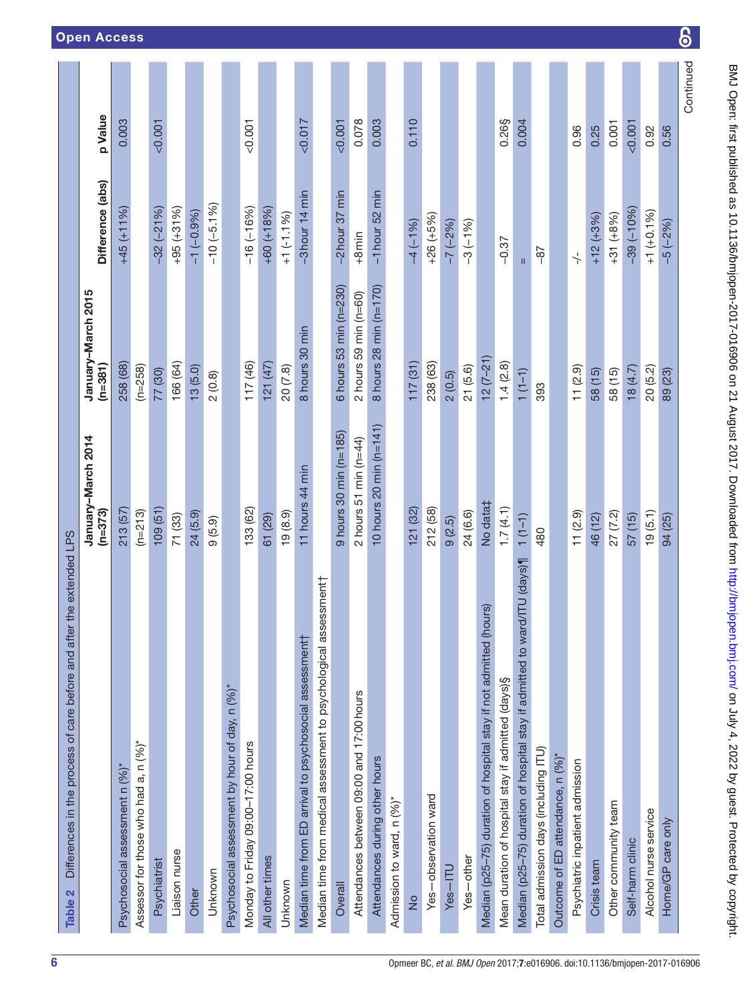<span id="page-5-0"></span>

| Differences in the process of care before and after the extended LPS<br>Table 2 |                                 |                                 |                  |           |
|---------------------------------------------------------------------------------|---------------------------------|---------------------------------|------------------|-----------|
|                                                                                 | January-March 2014<br>$(n=373)$ | January-March 2015<br>$(n=381)$ | Difference (abs) | p Value   |
| Psychosocial assessment n (%)*                                                  | 213(57)                         | 258 (68)                        | $+45 (+11%)$     | 0.003     |
| Assessor for those who had a, n (%)*                                            | $(n=213)$                       | $(n=258)$                       |                  |           |
| Psychiatrist                                                                    | 109(51)                         | 77 (30)                         | $-32(-21%)$      | < 0.001   |
| Liaison nurse                                                                   | 71 (33)                         | 166 (64)                        | $+95 (+31%)$     |           |
| Other                                                                           | 24 (5.9)                        | 13(5.0)                         | $-1(-0.9%$       |           |
| Unknown                                                                         | 9(5.9)                          | (0.8)                           | $-10(-5.1\%)$    |           |
| Psychosocial assessment by hour of day, n (%)*                                  |                                 |                                 |                  |           |
| Monday to Friday 09:00-17:00 hours                                              | 133 (62)                        | 117 (46)                        | $-16(-16%)$      | < 0.001   |
| All other times                                                                 | 61 (29)                         | 121 (47)                        | $+60 (+18%)$     |           |
| Unknown                                                                         | 19(8.9)                         | 20 (7.8)                        | $+1(-1.1\%)$     |           |
| Median time from ED arrival to psychosocial assessment                          | 11 hours 44 min                 | 8 hours 30 min                  | $-3$ hour 14 min | < 0.017   |
| essment†<br>Median time from medical assessment to psychological ass            |                                 |                                 |                  |           |
| Overall                                                                         | $9$ hours $30$ min (n=185)      | 6 hours 53 min ( $n=230$ )      | $-2$ hour 37 min | 0.001     |
| Attendances between 09:00 and 17:00 hours                                       | 2 hours 51 min ( $n=44$ )       | $2$ hours 59 min (n=60)         | $+8$ min         | 0.078     |
| Attendances during other hours                                                  | 10 hours 20 min ( $n=141$ )     | 8 hours 28 min ( $n=170$ )      | $-1$ hour 52 min | 0.003     |
| Admission to ward, n (%)*                                                       |                                 |                                 |                  |           |
| $\frac{1}{2}$                                                                   | 121 (32)                        | 117(31)                         | $-4(-1%)$        | 0.110     |
| Yes-observation ward                                                            | 212 (58)                        | 238 (63)                        | $+26(+5%)$       |           |
| Yes-ITU                                                                         | 9(2.5)                          | 2(0.5)                          | $-7(-2%)$        |           |
| Yes-other                                                                       | 24 (6.6)                        | 21(5.6)                         | $-3(-1%)$        |           |
| Median (p25-75) duration of hospital stay if not admitted (hours)               | No data‡                        | $12(7-21)$                      |                  |           |
| Mean duration of hospital stay if admitted (days)§                              | 1.7(4.1)                        | 1.4(2.8)                        | $-0.37$          | 0.26§     |
| Median (p25-75) duration of hospital stay if admitted to ward/ITU (days)¶       | $1(1-1)$                        | $1(1-1)$                        | $\mathbf{II}$    | 0.004     |
| Total admission days (including ITU)                                            | 480                             | 393                             | $-87$            |           |
| Outcome of ED attendance, n (%)*                                                |                                 |                                 |                  |           |
| Psychiatric inpatient admission                                                 | 11(2.9)                         | 11(2.9)                         | $\overline{+}$   | 0.96      |
| Crisis team                                                                     | 46 (12)                         | 58 (15)                         | $+12(+3%)$       | 0.25      |
| Other community team                                                            | 27 (7.2)                        | 58 (15)                         | $+31(+8%)$       | 0.001     |
| Self-harm clinic                                                                | 57 (15)                         | 18(4.7)                         | $-39(-10%)$      | 0.001     |
| Alcohol nurse service                                                           | 19(5.1)                         | 20 (5.2)                        | $+1$ (+0.1%)     | 0.92      |
| Home/GP care only                                                               | 94 (25)                         | 89 (23)                         | $-5(-2%)$        | 0.56      |
|                                                                                 |                                 |                                 |                  | Continued |

 $\overline{\mathbf{6}}$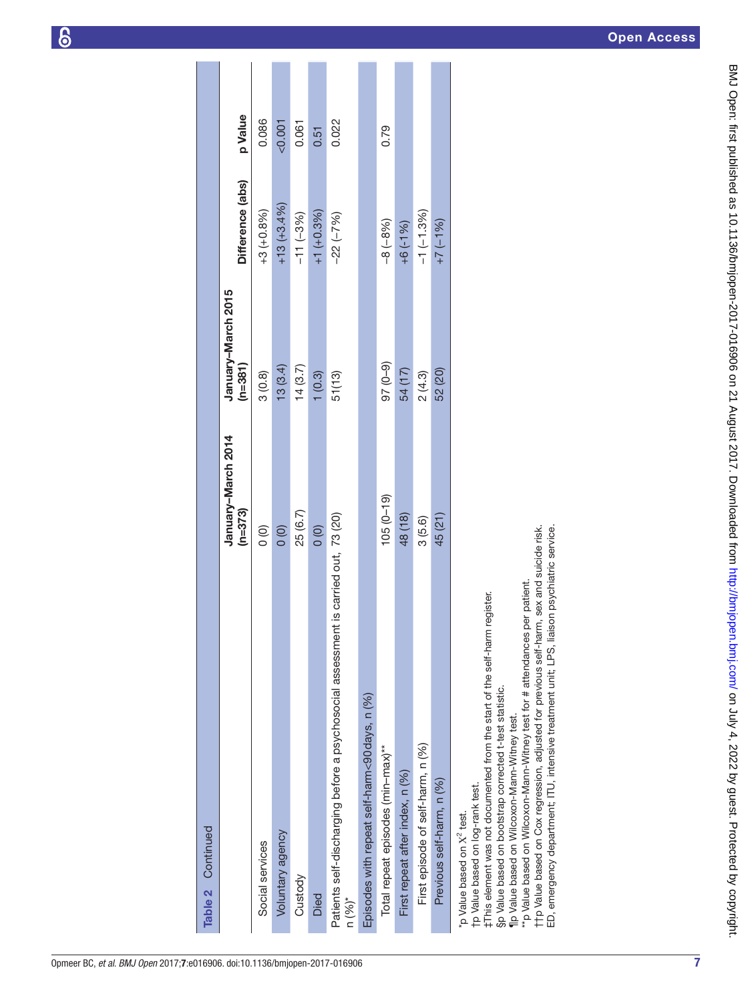| Table 2 Continued                                                                                                                                                                                                                                                                                                                                                                                                                                                                                                                           |                                      |                               |                  |          |
|---------------------------------------------------------------------------------------------------------------------------------------------------------------------------------------------------------------------------------------------------------------------------------------------------------------------------------------------------------------------------------------------------------------------------------------------------------------------------------------------------------------------------------------------|--------------------------------------|-------------------------------|------------------|----------|
|                                                                                                                                                                                                                                                                                                                                                                                                                                                                                                                                             | January-March 2014<br>$(n=373)$      | January-March 2015<br>(n=381) | Difference (abs) | p Value  |
| Social services                                                                                                                                                                                                                                                                                                                                                                                                                                                                                                                             | $\frac{1}{2}$                        | 3(0.8)                        | $+3(+0.8\%)$     | 0.086    |
| Voluntary agency                                                                                                                                                                                                                                                                                                                                                                                                                                                                                                                            | $\frac{1}{2}$                        | 13(3.4)                       | $+13(+3.4\%)$    | $-0.001$ |
| Custody                                                                                                                                                                                                                                                                                                                                                                                                                                                                                                                                     | 25 (6.7)                             | 14(3.7)                       | $-11(-3%)$       | 0.061    |
| Died                                                                                                                                                                                                                                                                                                                                                                                                                                                                                                                                        | $\begin{matrix} 0 \\ 0 \end{matrix}$ | 1(0.3)                        | $+1$ (+0.3%)     | 0.51     |
| is carried out, 73 (20)<br>Patients self-discharging before a psychosocial assessment<br>$n (%)^*$                                                                                                                                                                                                                                                                                                                                                                                                                                          |                                      | 51(13)                        | $-22(-7%)$       | 0.022    |
| Episodes with repeat self-harm<90 days, n (%)                                                                                                                                                                                                                                                                                                                                                                                                                                                                                               |                                      |                               |                  |          |
| Total repeat episodes (min-max)**                                                                                                                                                                                                                                                                                                                                                                                                                                                                                                           | $105(0-19)$                          | $(6-0)$ 26                    | $-8(-8%)$        | 0.79     |
| First repeat after index, n (%)                                                                                                                                                                                                                                                                                                                                                                                                                                                                                                             | 48 (18)                              | 54 (17)                       | $+6(-1%)$        |          |
| First episode of self-harm, n (%)                                                                                                                                                                                                                                                                                                                                                                                                                                                                                                           | 3(5.6)                               | 2(4.3)                        | $-1(-1.3%)$      |          |
| Previous self-harm, n (%)                                                                                                                                                                                                                                                                                                                                                                                                                                                                                                                   | 45 (21)                              | 52 (20)                       | $+7(-1%)$        |          |
| ED, emergency department; ITU, intensive treatment unit; LPS, liaison psychiatric service.<br>ttp Value based on Cox regression, adjusted for previous self-harm, sex and suicide risk.<br>"p Value based on Wilcoxon-Mann-Witney test for # attendances per patient.<br>‡This element was not documented from the start of the self-harm register.<br>Sp Value based on bootstrap corrected t-test statistic.<br>To Value based on Wilcoxon-Mann-Witney test.<br>tp Value based on log-rank test.<br>p Value based on X <sup>2</sup> test. |                                      |                               |                  |          |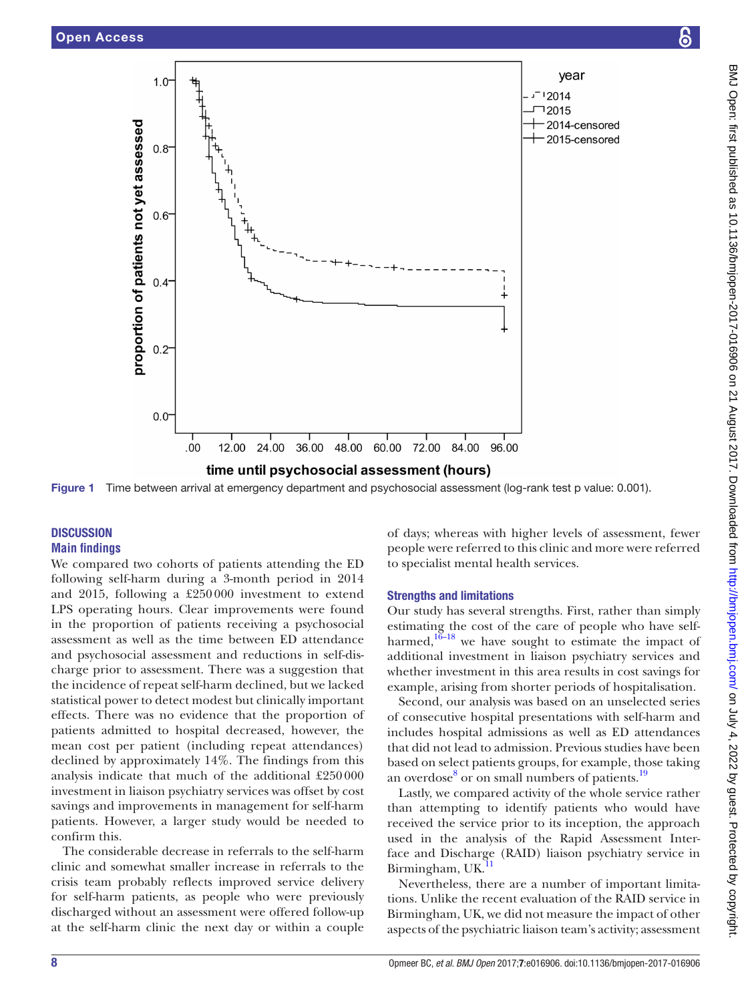

<span id="page-7-0"></span>Figure 1 Time between arrival at emergency department and psychosocial assessment (log-rank test p value: 0.001).

# **DISCUSSION Main findings**

We compared two cohorts of patients attending the ED following self-harm during a 3-month period in 2014 and 2015, following a £250 000 investment to extend LPS operating hours. Clear improvements were found in the proportion of patients receiving a psychosocial assessment as well as the time between ED attendance and psychosocial assessment and reductions in self-discharge prior to assessment. There was a suggestion that the incidence of repeat self-harm declined, but we lacked statistical power to detect modest but clinically important effects. There was no evidence that the proportion of patients admitted to hospital decreased, however, the mean cost per patient (including repeat attendances) declined by approximately 14%. The findings from this analysis indicate that much of the additional £250 000 investment in liaison psychiatry services was offset by cost savings and improvements in management for self-harm patients. However, a larger study would be needed to confirm this.

The considerable decrease in referrals to the self-harm clinic and somewhat smaller increase in referrals to the crisis team probably reflects improved service delivery for self-harm patients, as people who were previously discharged without an assessment were offered follow-up at the self-harm clinic the next day or within a couple of days; whereas with higher levels of assessment, fewer people were referred to this clinic and more were referred to specialist mental health services.

# Strengths and limitations

Our study has several strengths. First, rather than simply estimating the cost of the care of people who have selfharmed, $16-18$  we have sought to estimate the impact of additional investment in liaison psychiatry services and whether investment in this area results in cost savings for example, arising from shorter periods of hospitalisation.

Second, our analysis was based on an unselected series of consecutive hospital presentations with self-harm and includes hospital admissions as well as ED attendances that did not lead to admission. Previous studies have been based on select patients groups, for example, those taking an overdose<sup>8</sup> or on small numbers of patients.<sup>19</sup>

Lastly, we compared activity of the whole service rather than attempting to identify patients who would have received the service prior to its inception, the approach used in the analysis of the Rapid Assessment Interface and Discharge (RAID) liaison psychiatry service in Birmingham, UK.

Nevertheless, there are a number of important limitations. Unlike the recent evaluation of the RAID service in Birmingham, UK, we did not measure the impact of other aspects of the psychiatric liaison team's activity; assessment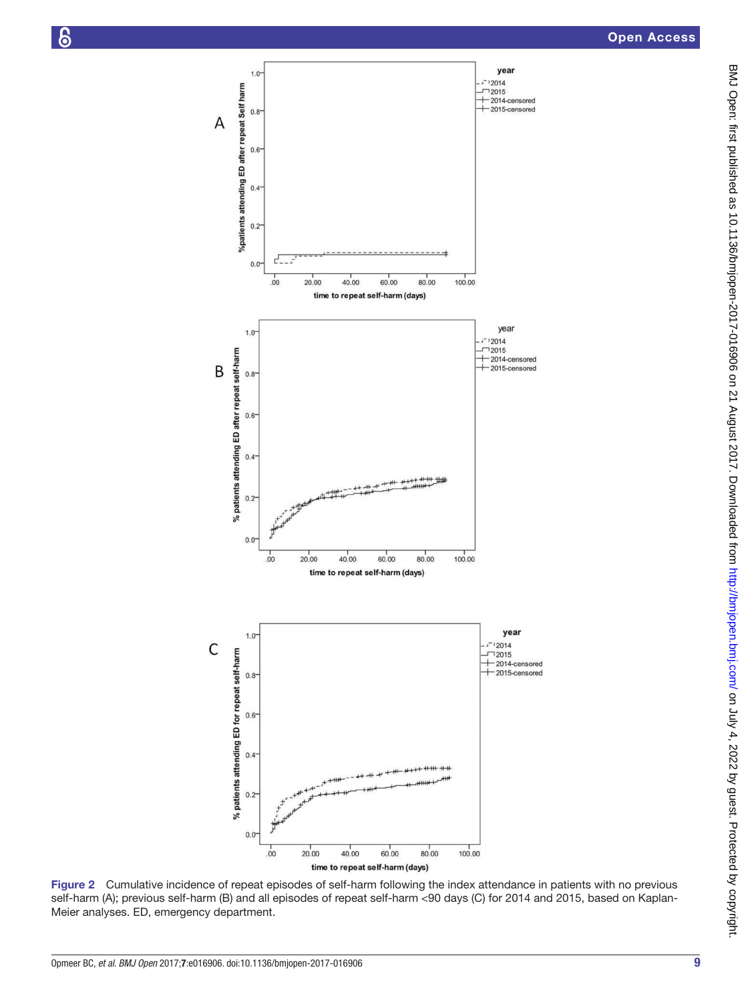

<span id="page-8-0"></span>Figure 2 Cumulative incidence of repeat episodes of self-harm following the index attendance in patients with no previous self-harm (A); previous self-harm (B) and all episodes of repeat self-harm <90 days (C) for 2014 and 2015, based on Kaplan-Meier analyses. ED, emergency department.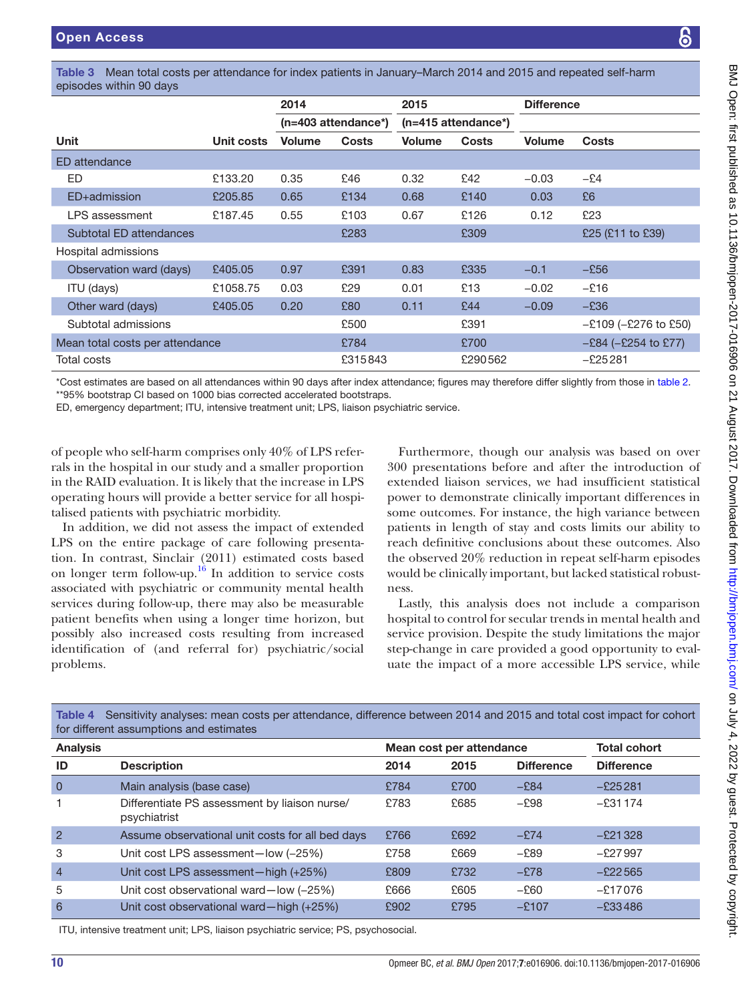<span id="page-9-0"></span>Table 3 Mean total costs per attendance for index patients in January–March 2014 and 2015 and repeated self-harm episodes within 90 days

|                                 |            | 2014          |                                    | 2015          |                                    | <b>Difference</b> |                        |
|---------------------------------|------------|---------------|------------------------------------|---------------|------------------------------------|-------------------|------------------------|
|                                 |            |               | $(n=403$ attendance <sup>*</sup> ) |               | $(n=415$ attendance <sup>*</sup> ) |                   |                        |
| Unit                            | Unit costs | <b>Volume</b> | <b>Costs</b>                       | <b>Volume</b> | <b>Costs</b>                       | <b>Volume</b>     | <b>Costs</b>           |
| ED attendance                   |            |               |                                    |               |                                    |                   |                        |
| ED                              | £133.20    | 0.35          | £46                                | 0.32          | £42                                | $-0.03$           | $-E4$                  |
| ED+admission                    | £205.85    | 0.65          | £134                               | 0.68          | £140                               | 0.03              | E6                     |
| LPS assessment                  | £187.45    | 0.55          | £103                               | 0.67          | £126                               | 0.12              | £23                    |
| Subtotal ED attendances         |            |               | £283                               |               | £309                               |                   | £25 (£11 to £39)       |
| Hospital admissions             |            |               |                                    |               |                                    |                   |                        |
| Observation ward (days)         | £405.05    | 0.97          | £391                               | 0.83          | £335                               | $-0.1$            | $-E56$                 |
| ITU (days)                      | £1058.75   | 0.03          | £29                                | 0.01          | £13                                | $-0.02$           | $-£16$                 |
| Other ward (days)               | £405.05    | 0.20          | £80                                | 0.11          | £44                                | $-0.09$           | $-E36$                 |
| Subtotal admissions             |            |               | £500                               |               | £391                               |                   | $-£109 (-£276 to £50)$ |
| Mean total costs per attendance |            |               | £784                               |               | £700                               |                   | $-£84 (-£254 to £77)$  |
| Total costs                     |            |               | £315843                            |               | £290562                            |                   | $-225281$              |

\*Cost estimates are based on all attendances within 90 days after index attendance; figures may therefore differ slightly from those in [table 2](#page-5-0). \*\*95% bootstrap CI based on 1000 bias corrected accelerated bootstraps.

ED, emergency department; ITU, intensive treatment unit; LPS, liaison psychiatric service.

of people who self-harm comprises only 40% of LPS referrals in the hospital in our study and a smaller proportion in the RAID evaluation. It is likely that the increase in LPS operating hours will provide a better service for all hospitalised patients with psychiatric morbidity.

In addition, we did not assess the impact of extended LPS on the entire package of care following presentation. In contrast, Sinclair (2011) estimated costs based on longer term follow-up.<sup>16</sup> In addition to service costs associated with psychiatric or community mental health services during follow-up, there may also be measurable patient benefits when using a longer time horizon, but possibly also increased costs resulting from increased identification of (and referral for) psychiatric/social problems.

Furthermore, though our analysis was based on over 300 presentations before and after the introduction of extended liaison services, we had insufficient statistical power to demonstrate clinically important differences in some outcomes. For instance, the high variance between patients in length of stay and costs limits our ability to reach definitive conclusions about these outcomes. Also the observed 20% reduction in repeat self-harm episodes would be clinically important, but lacked statistical robustness.

Lastly, this analysis does not include a comparison hospital to control for secular trends in mental health and service provision. Despite the study limitations the major step-change in care provided a good opportunity to evaluate the impact of a more accessible LPS service, while

<span id="page-9-1"></span>

| for different assumptions and estimates |                                                               |                          |      |                   |                     |  |  |
|-----------------------------------------|---------------------------------------------------------------|--------------------------|------|-------------------|---------------------|--|--|
| <b>Analysis</b>                         |                                                               | Mean cost per attendance |      |                   | <b>Total cohort</b> |  |  |
| ID                                      | <b>Description</b>                                            | 2014                     | 2015 | <b>Difference</b> | <b>Difference</b>   |  |  |
| $\Omega$                                | Main analysis (base case)                                     | £784                     | £700 | $-E84$            | $-225281$           |  |  |
| 1                                       | Differentiate PS assessment by liaison nurse/<br>psychiatrist | £783                     | £685 | $-£98$            | $-231174$           |  |  |
| $\overline{2}$                          | Assume observational unit costs for all bed days              | £766                     | £692 | $-E74$            | $-E21328$           |  |  |
| 3                                       | Unit cost LPS assessment-low (-25%)                           | £758                     | £669 | $-E89$            | $-227997$           |  |  |
| $\overline{4}$                          | Unit cost LPS assessment-high (+25%)                          | £809                     | £732 | $-E78$            | $-222565$           |  |  |
| 5                                       | Unit cost observational ward-low (-25%)                       | £666                     | £605 | $-E60$            | $-217076$           |  |  |
| 6                                       | Unit cost observational ward-high (+25%)                      | £902                     | £795 | $-E107$           | $-233486$           |  |  |

ITU, intensive treatment unit; LPS, liaison psychiatric service; PS, psychosocial.

BMJ Open: first published as 10.1136/bmjopen-2017-016906 on 21 August 2017. Downloaded from http://bmjopen.bmj.com/ on July 4, 2022 by guest. Protected by copyright BMJ Open: first published as 10.1136/bmjopen-2017-016906 on 21 August 2017. Downloaded from <http://bmjopen.bmj.com/> on July 4, 2022 by guest. Protected by copyright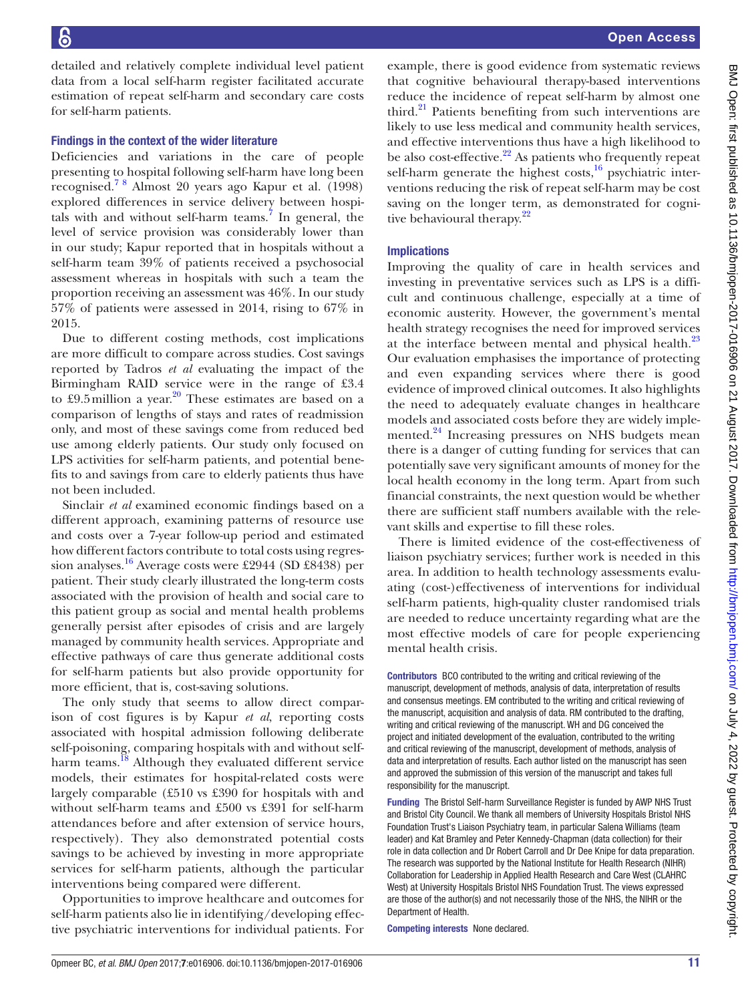detailed and relatively complete individual level patient data from a local self-harm register facilitated accurate estimation of repeat self-harm and secondary care costs for self-harm patients.

#### Findings in the context of the wider literature

Deficiencies and variations in the care of people presenting to hospital following self-harm have long been recognised.[7 8](#page-11-6) Almost 20 years ago Kapur et al. (1998) explored differences in service delivery between hospi-tals with and without self-harm teams.<sup>[7](#page-11-6)</sup> In general, the level of service provision was considerably lower than in our study; Kapur reported that in hospitals without a self-harm team 39% of patients received a psychosocial assessment whereas in hospitals with such a team the proportion receiving an assessment was 46%. In our study 57% of patients were assessed in 2014, rising to 67% in 2015.

Due to different costing methods, cost implications are more difficult to compare across studies. Cost savings reported by Tadros *et al* evaluating the impact of the Birmingham RAID service were in the range of £3.4 to £9.5 million a year. $20$  These estimates are based on a comparison of lengths of stays and rates of readmission only, and most of these savings come from reduced bed use among elderly patients. Our study only focused on LPS activities for self-harm patients, and potential benefits to and savings from care to elderly patients thus have not been included.

Sinclair *et al* examined economic findings based on a different approach, examining patterns of resource use and costs over a 7-year follow-up period and estimated how different factors contribute to total costs using regression analyses.<sup>16</sup> Average costs were £2944 (SD £8438) per patient. Their study clearly illustrated the long-term costs associated with the provision of health and social care to this patient group as social and mental health problems generally persist after episodes of crisis and are largely managed by community health services. Appropriate and effective pathways of care thus generate additional costs for self-harm patients but also provide opportunity for more efficient, that is, cost-saving solutions.

The only study that seems to allow direct comparison of cost figures is by Kapur *et al*, reporting costs associated with hospital admission following deliberate self-poisoning, comparing hospitals with and without self-harm teams.<sup>[18](#page-11-16)</sup> Although they evaluated different service models, their estimates for hospital-related costs were largely comparable (£510 vs £390 for hospitals with and without self-harm teams and £500 vs £391 for self-harm attendances before and after extension of service hours, respectively). They also demonstrated potential costs savings to be achieved by investing in more appropriate services for self-harm patients, although the particular interventions being compared were different.

Opportunities to improve healthcare and outcomes for self-harm patients also lie in identifying/developing effective psychiatric interventions for individual patients. For

example, there is good evidence from systematic reviews that cognitive behavioural therapy-based interventions reduce the incidence of repeat self-harm by almost one third. $^{21}$  Patients benefiting from such interventions are likely to use less medical and community health services, and effective interventions thus have a high likelihood to be also cost-effective. $^{22}$  As patients who frequently repeat self-harm generate the highest costs, $16$  psychiatric interventions reducing the risk of repeat self-harm may be cost saving on the longer term, as demonstrated for cogni-tive behavioural therapy.<sup>[22](#page-11-18)</sup>

#### Implications

Improving the quality of care in health services and investing in preventative services such as LPS is a difficult and continuous challenge, especially at a time of economic austerity. However, the government's mental health strategy recognises the need for improved services at the interface between mental and physical health. $^{23}$  $^{23}$  $^{23}$ Our evaluation emphasises the importance of protecting and even expanding services where there is good evidence of improved clinical outcomes. It also highlights the need to adequately evaluate changes in healthcare models and associated costs before they are widely implemented.<sup>24</sup> Increasing pressures on NHS budgets mean there is a danger of cutting funding for services that can potentially save very significant amounts of money for the local health economy in the long term. Apart from such financial constraints, the next question would be whether there are sufficient staff numbers available with the relevant skills and expertise to fill these roles.

There is limited evidence of the cost-effectiveness of liaison psychiatry services; further work is needed in this area. In addition to health technology assessments evaluating (cost-)effectiveness of interventions for individual self-harm patients, high-quality cluster randomised trials are needed to reduce uncertainty regarding what are the most effective models of care for people experiencing mental health crisis.

Contributors BCO contributed to the writing and critical reviewing of the manuscript, development of methods, analysis of data, interpretation of results and consensus meetings. EM contributed to the writing and critical reviewing of the manuscript, acquisition and analysis of data. RM contributed to the drafting, writing and critical reviewing of the manuscript. WH and DG conceived the project and initiated development of the evaluation, contributed to the writing and critical reviewing of the manuscript, development of methods, analysis of data and interpretation of results. Each author listed on the manuscript has seen and approved the submission of this version of the manuscript and takes full responsibility for the manuscript.

Funding The Bristol Self-harm Surveillance Register is funded by AWP NHS Trust and Bristol City Council. We thank all members of University Hospitals Bristol NHS Foundation Trust's Liaison Psychiatry team, in particular Salena Williams (team leader) and Kat Bramley and Peter Kennedy-Chapman (data collection) for their role in data collection and Dr Robert Carroll and Dr Dee Knipe for data preparation. The research was supported by the National Institute for Health Research (NIHR) Collaboration for Leadership in Applied Health Research and Care West (CLAHRC West) at University Hospitals Bristol NHS Foundation Trust. The views expressed are those of the author(s) and not necessarily those of the NHS, the NIHR or the Department of Health.

Competing interests None declared.